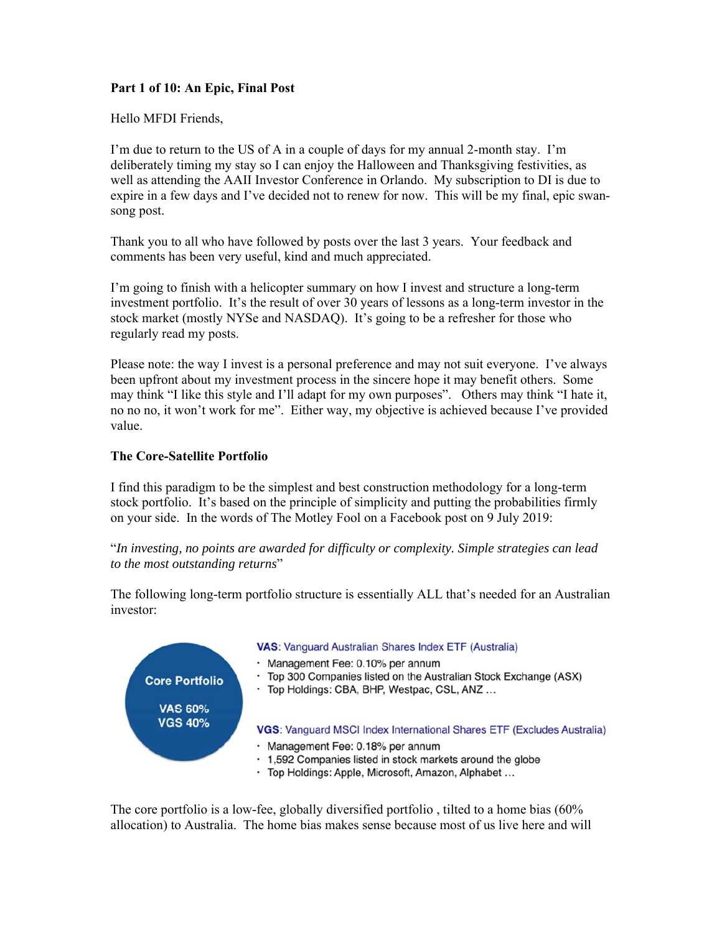# **Part 1 of 10: An Epic, Final Post**

Hello MFDI Friends,

I'm due to return to the US of A in a couple of days for my annual 2-month stay. I'm deliberately timing my stay so I can enjoy the Halloween and Thanksgiving festivities, as well as attending the AAII Investor Conference in Orlando. My subscription to DI is due to expire in a few days and I've decided not to renew for now. This will be my final, epic swansong post.

Thank you to all who have followed by posts over the last 3 years. Your feedback and comments has been very useful, kind and much appreciated.

I'm going to finish with a helicopter summary on how I invest and structure a long-term investment portfolio. It's the result of over 30 years of lessons as a long-term investor in the stock market (mostly NYSe and NASDAQ). It's going to be a refresher for those who regularly read my posts.

Please note: the way I invest is a personal preference and may not suit everyone. I've always been upfront about my investment process in the sincere hope it may benefit others. Some may think "I like this style and I'll adapt for my own purposes". Others may think "I hate it, no no no, it won't work for me". Either way, my objective is achieved because I've provided value.

## **The Core-Satellite Portfolio**

I find this paradigm to be the simplest and best construction methodology for a long-term stock portfolio. It's based on the principle of simplicity and putting the probabilities firmly on your side. In the words of The Motley Fool on a Facebook post on 9 July 2019:

## "*In investing, no points are awarded for difficulty or complexity. Simple strategies can lead to the most outstanding returns*"

The following long-term portfolio structure is essentially ALL that's needed for an Australian investor:



The core portfolio is a low-fee, globally diversified portfolio , tilted to a home bias (60% allocation) to Australia. The home bias makes sense because most of us live here and will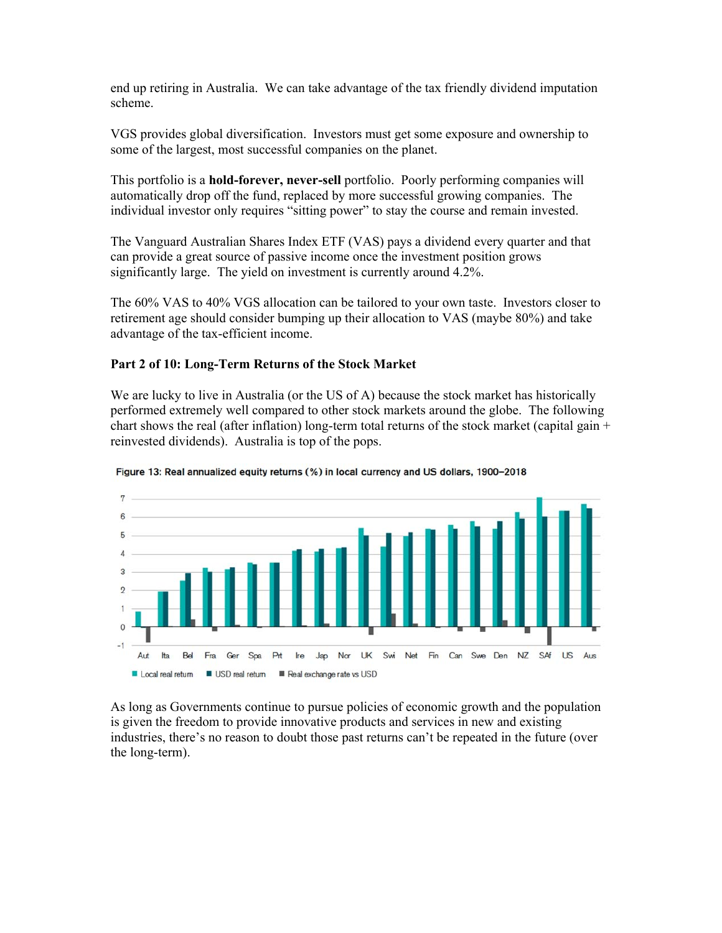end up retiring in Australia. We can take advantage of the tax friendly dividend imputation scheme.

VGS provides global diversification. Investors must get some exposure and ownership to some of the largest, most successful companies on the planet.

This portfolio is a **hold-forever, never-sell** portfolio. Poorly performing companies will automatically drop off the fund, replaced by more successful growing companies. The individual investor only requires "sitting power" to stay the course and remain invested.

The Vanguard Australian Shares Index ETF (VAS) pays a dividend every quarter and that can provide a great source of passive income once the investment position grows significantly large. The yield on investment is currently around 4.2%.

The 60% VAS to 40% VGS allocation can be tailored to your own taste. Investors closer to retirement age should consider bumping up their allocation to VAS (maybe 80%) and take advantage of the tax-efficient income.

## **Part 2 of 10: Long-Term Returns of the Stock Market**

We are lucky to live in Australia (or the US of A) because the stock market has historically performed extremely well compared to other stock markets around the globe. The following chart shows the real (after inflation) long-term total returns of the stock market (capital gain  $+$ reinvested dividends). Australia is top of the pops.



Figure 13: Real annualized equity returns (%) in local currency and US dollars, 1900-2018

As long as Governments continue to pursue policies of economic growth and the population is given the freedom to provide innovative products and services in new and existing industries, there's no reason to doubt those past returns can't be repeated in the future (over the long-term).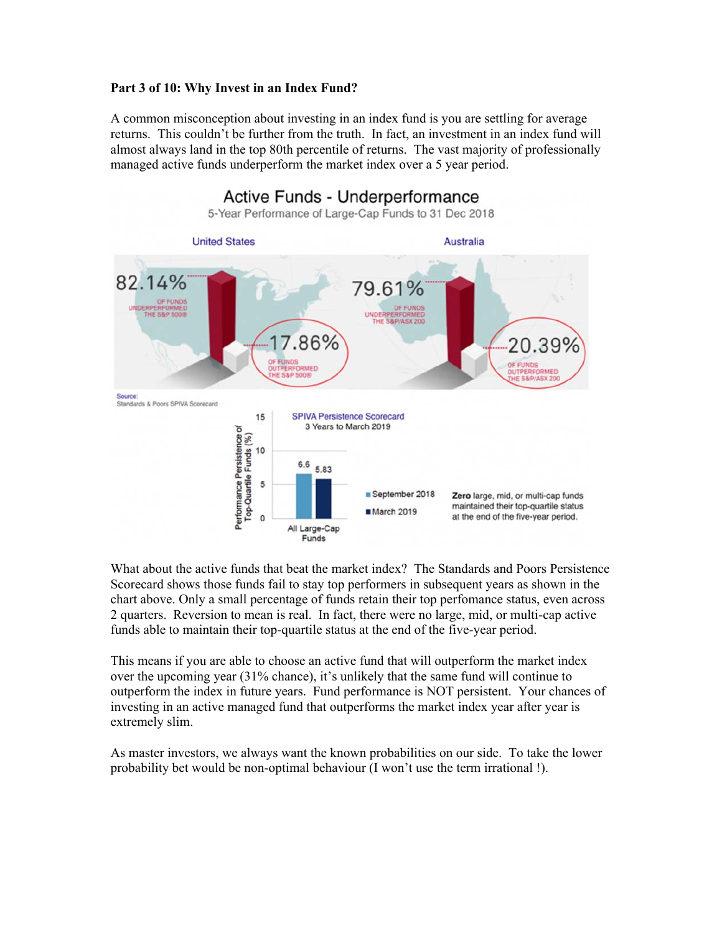## **Part 3 of 10: Why Invest in an Index Fund?**

A common misconception about investing in an index fund is you are settling for average returns. This couldn't be further from the truth. In fact, an investment in an index fund will almost always land in the top 80th percentile of returns. The vast majority of professionally managed active funds underperform the market index over a 5 year period.



What about the active funds that beat the market index? The Standards and Poors Persistence Scorecard shows those funds fail to stay top performers in subsequent years as shown in the chart above. Only a small percentage of funds retain their top perfomance status, even across 2 quarters. Reversion to mean is real. In fact, there were no large, mid, or multi-cap active funds able to maintain their top-quartile status at the end of the five-year period.

This means if you are able to choose an active fund that will outperform the market index over the upcoming year (31% chance), it's unlikely that the same fund will continue to outperform the index in future years. Fund performance is NOT persistent. Your chances of investing in an active managed fund that outperforms the market index year after year is extremely slim.

As master investors, we always want the known probabilities on our side. To take the lower probability bet would be non-optimal behaviour (I won't use the term irrational !).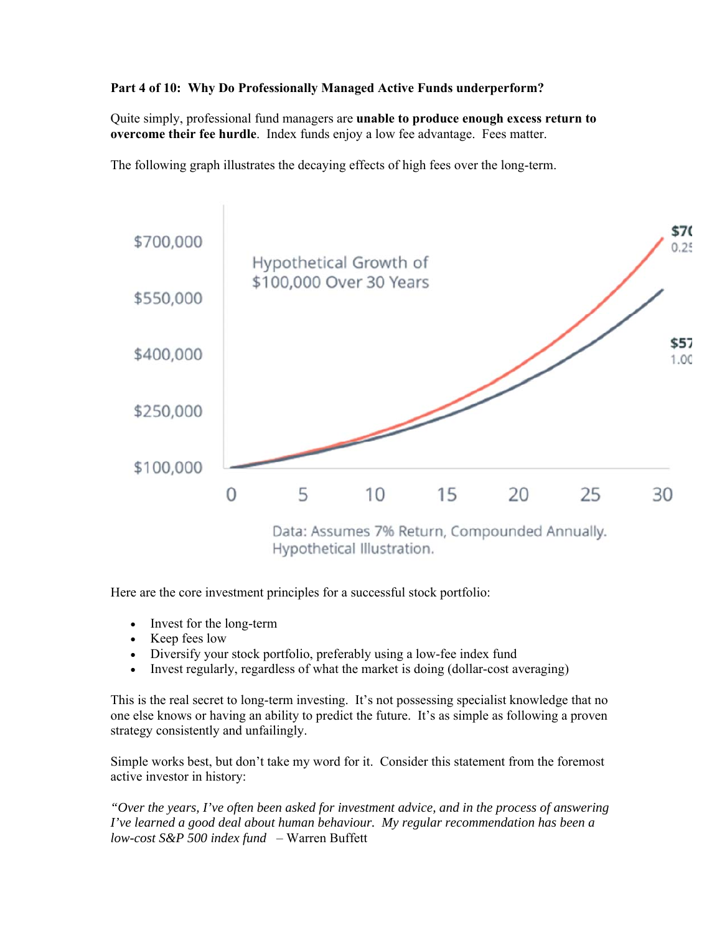# **Part 4 of 10: Why Do Professionally Managed Active Funds underperform?**

Quite simply, professional fund managers are **unable to produce enough excess return to overcome their fee hurdle**. Index funds enjoy a low fee advantage. Fees matter.

The following graph illustrates the decaying effects of high fees over the long-term.



Here are the core investment principles for a successful stock portfolio:

- Invest for the long-term
- Keep fees low
- Diversify your stock portfolio, preferably using a low-fee index fund
- Invest regularly, regardless of what the market is doing (dollar-cost averaging)

This is the real secret to long-term investing. It's not possessing specialist knowledge that no one else knows or having an ability to predict the future. It's as simple as following a proven strategy consistently and unfailingly.

Simple works best, but don't take my word for it. Consider this statement from the foremost active investor in history:

*"Over the years, I've often been asked for investment advice, and in the process of answering I've learned a good deal about human behaviour. My regular recommendation has been a low-cost S&P 500 index fund* – Warren Buffett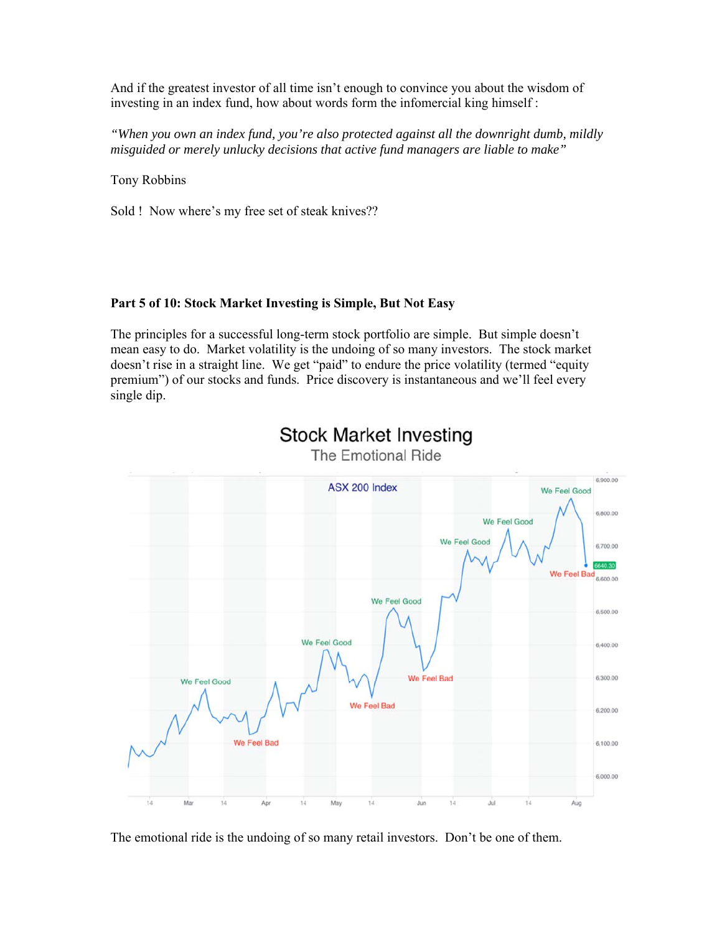And if the greatest investor of all time isn't enough to convince you about the wisdom of investing in an index fund, how about words form the infomercial king himself :

*"When you own an index fund, you're also protected against all the downright dumb, mildly misguided or merely unlucky decisions that active fund managers are liable to make"* 

Tony Robbins

Sold ! Now where's my free set of steak knives??

## **Part 5 of 10: Stock Market Investing is Simple, But Not Easy**

The principles for a successful long-term stock portfolio are simple. But simple doesn't mean easy to do. Market volatility is the undoing of so many investors. The stock market doesn't rise in a straight line. We get "paid" to endure the price volatility (termed "equity premium") of our stocks and funds. Price discovery is instantaneous and we'll feel every single dip.



**Stock Market Investing** The Emotional Ride

The emotional ride is the undoing of so many retail investors. Don't be one of them.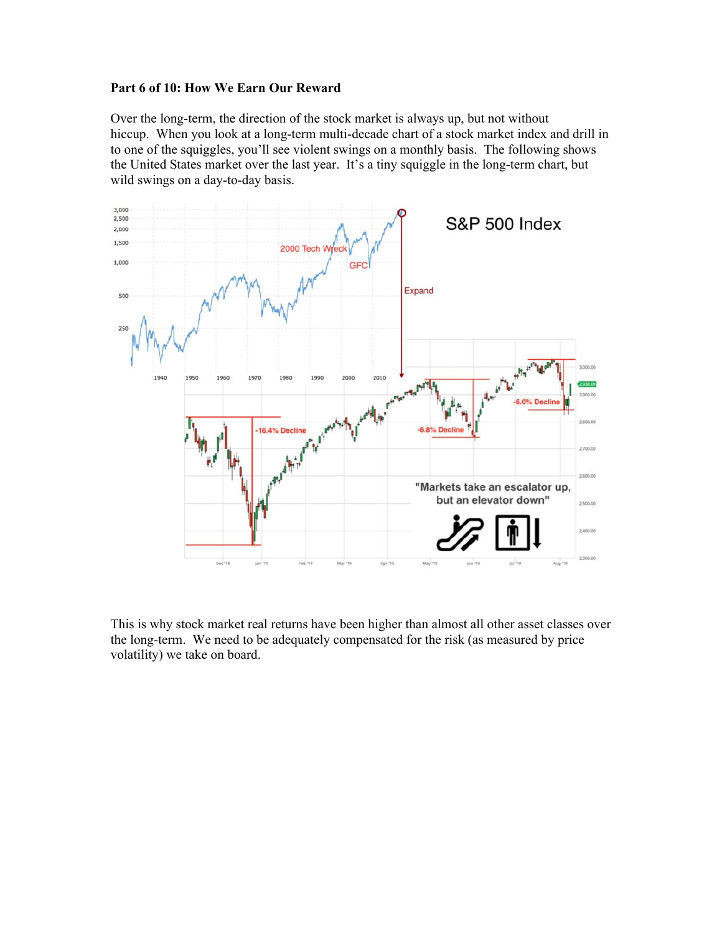#### **Part 6 of 10: How We Earn Our Reward**

Over the long-term, the direction of the stock market is always up, but not without hiccup. When you look at a long-term multi-decade chart of a stock market index and drill in to one of the squiggles, you'll see violent swings on a monthly basis. The following shows the United States market over the last year. It's a tiny squiggle in the long-term chart, but wild swings on a day-to-day basis.



This is why stock market real returns have been higher than almost all other asset classes over the long-term. We need to be adequately compensated for the risk (as measured by price volatility) we take on board.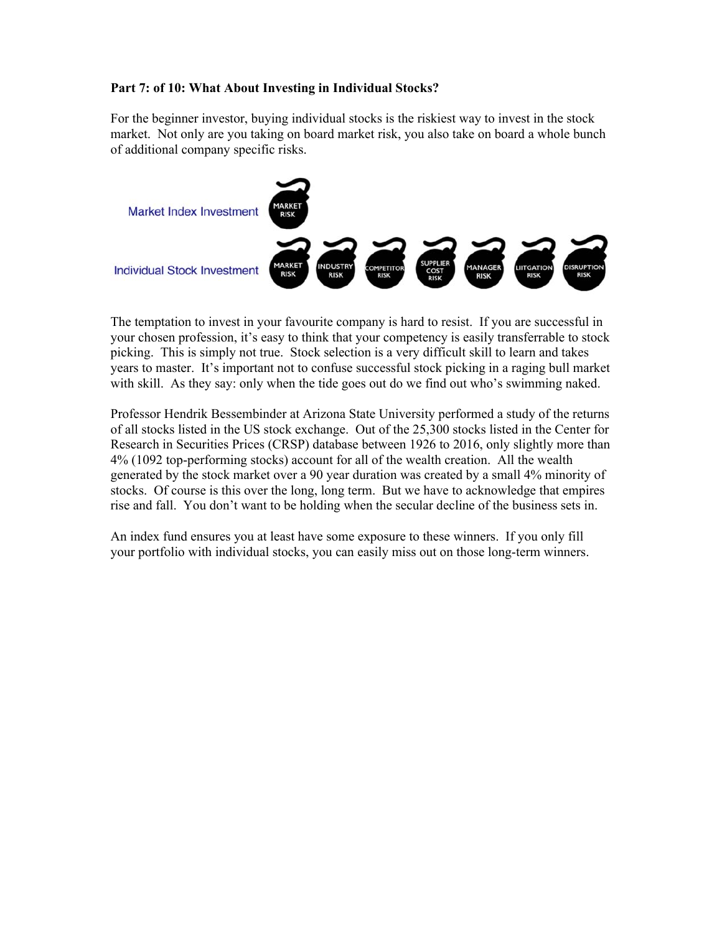## **Part 7: of 10: What About Investing in Individual Stocks?**

For the beginner investor, buying individual stocks is the riskiest way to invest in the stock market. Not only are you taking on board market risk, you also take on board a whole bunch of additional company specific risks.

![](_page_6_Figure_2.jpeg)

The temptation to invest in your favourite company is hard to resist. If you are successful in your chosen profession, it's easy to think that your competency is easily transferrable to stock picking. This is simply not true. Stock selection is a very difficult skill to learn and takes years to master. It's important not to confuse successful stock picking in a raging bull market with skill. As they say: only when the tide goes out do we find out who's swimming naked.

Professor Hendrik Bessembinder at Arizona State University performed a study of the returns of all stocks listed in the US stock exchange. Out of the 25,300 stocks listed in the Center for Research in Securities Prices (CRSP) database between 1926 to 2016, only slightly more than 4% (1092 top-performing stocks) account for all of the wealth creation. All the wealth generated by the stock market over a 90 year duration was created by a small 4% minority of stocks. Of course is this over the long, long term. But we have to acknowledge that empires rise and fall. You don't want to be holding when the secular decline of the business sets in.

An index fund ensures you at least have some exposure to these winners. If you only fill your portfolio with individual stocks, you can easily miss out on those long-term winners.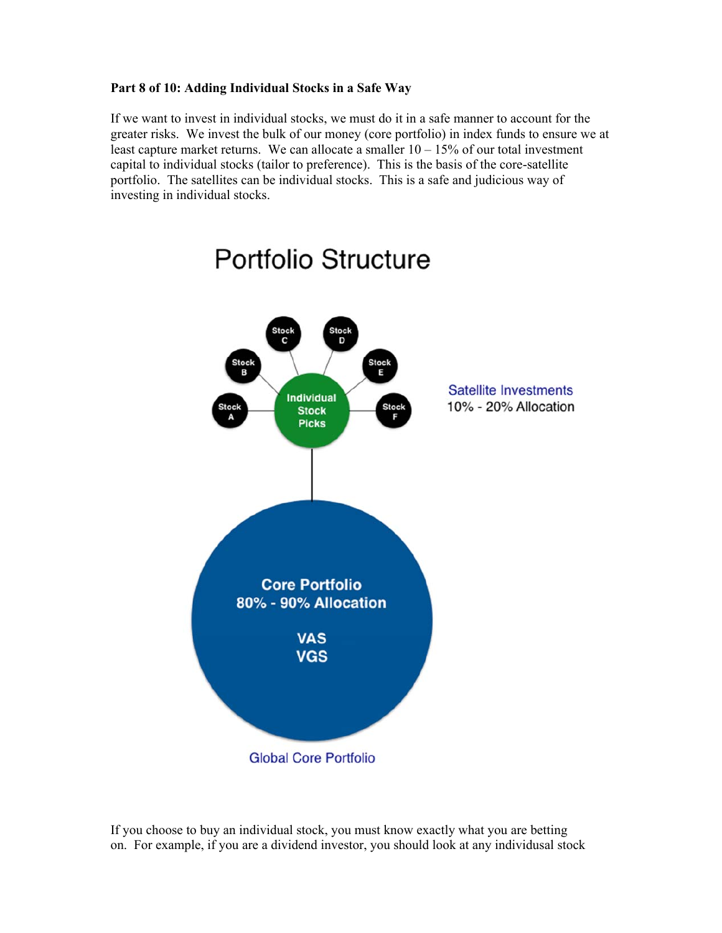## **Part 8 of 10: Adding Individual Stocks in a Safe Way**

If we want to invest in individual stocks, we must do it in a safe manner to account for the greater risks. We invest the bulk of our money (core portfolio) in index funds to ensure we at least capture market returns. We can allocate a smaller  $10 - 15\%$  of our total investment capital to individual stocks (tailor to preference). This is the basis of the core-satellite portfolio. The satellites can be individual stocks. This is a safe and judicious way of investing in individual stocks.

![](_page_7_Figure_2.jpeg)

# Portfolio Structure

If you choose to buy an individual stock, you must know exactly what you are betting on. For example, if you are a dividend investor, you should look at any individusal stock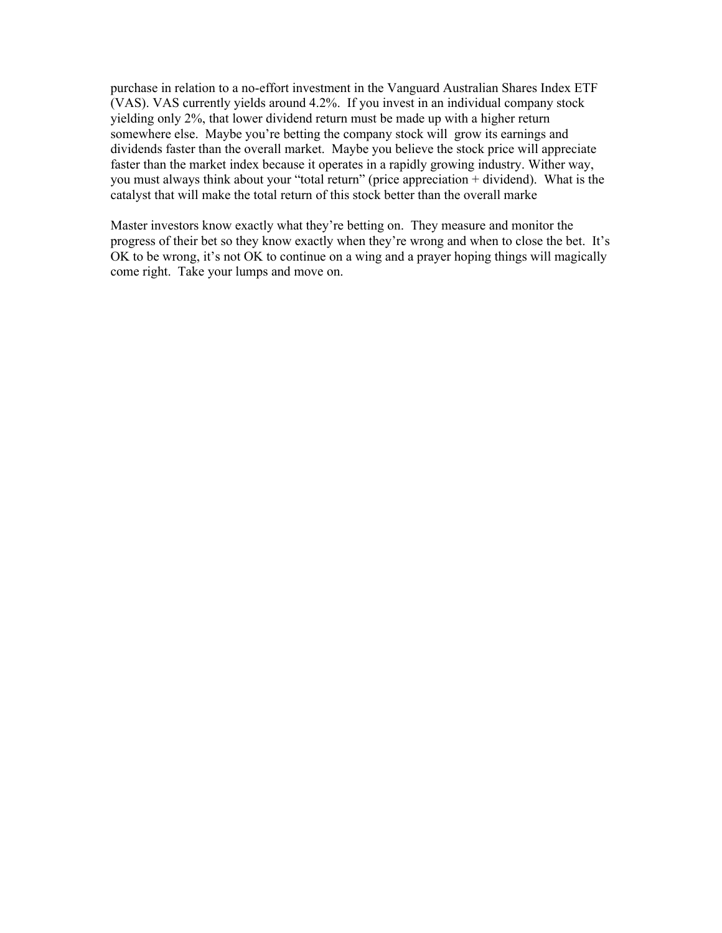purchase in relation to a no-effort investment in the Vanguard Australian Shares Index ETF (VAS). VAS currently yields around 4.2%. If you invest in an individual company stock yielding only 2%, that lower dividend return must be made up with a higher return somewhere else. Maybe you're betting the company stock will grow its earnings and dividends faster than the overall market. Maybe you believe the stock price will appreciate faster than the market index because it operates in a rapidly growing industry. Wither way, you must always think about your "total return" (price appreciation + dividend). What is the catalyst that will make the total return of this stock better than the overall marke

Master investors know exactly what they're betting on. They measure and monitor the progress of their bet so they know exactly when they're wrong and when to close the bet. It's OK to be wrong, it's not OK to continue on a wing and a prayer hoping things will magically come right. Take your lumps and move on.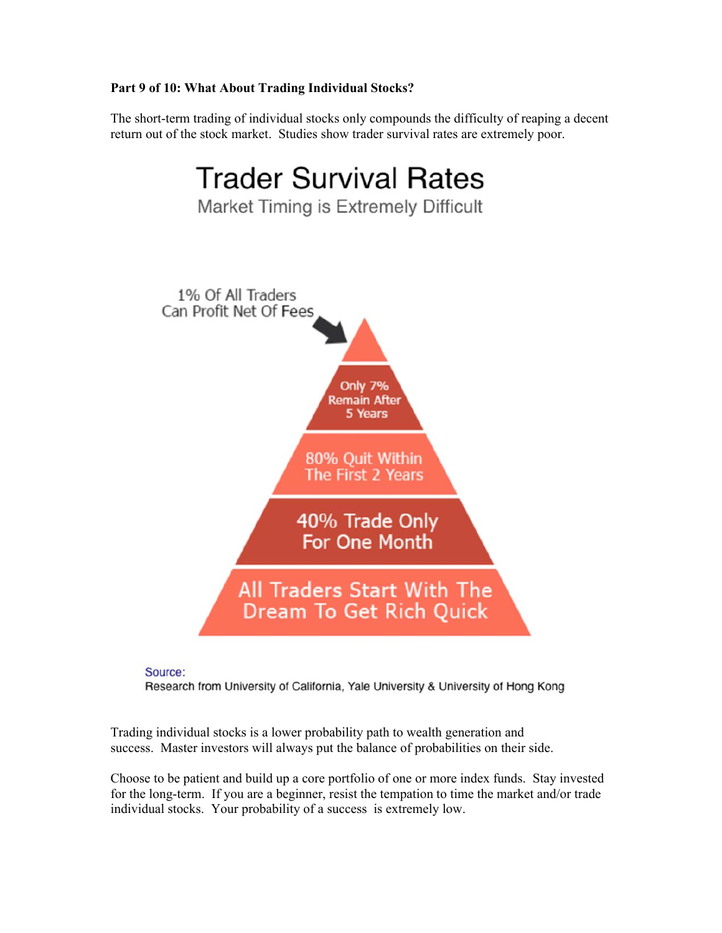# **Part 9 of 10: What About Trading Individual Stocks?**

The short-term trading of individual stocks only compounds the difficulty of reaping a decent return out of the stock market. Studies show trader survival rates are extremely poor.

![](_page_9_Figure_2.jpeg)

Source: Research from University of California, Yale University & University of Hong Kong

Trading individual stocks is a lower probability path to wealth generation and success. Master investors will always put the balance of probabilities on their side.

Choose to be patient and build up a core portfolio of one or more index funds. Stay invested for the long-term. If you are a beginner, resist the tempation to time the market and/or trade individual stocks. Your probability of a success is extremely low.